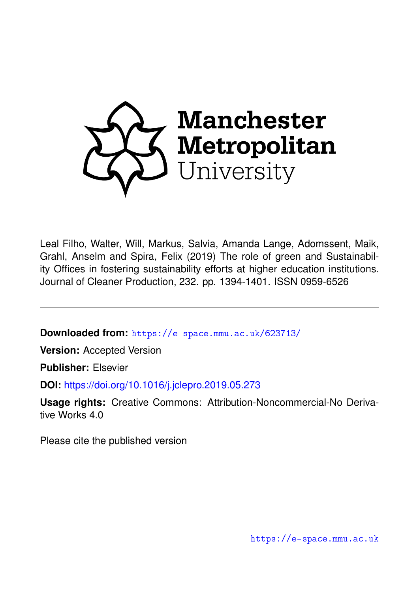

Leal Filho, Walter, Will, Markus, Salvia, Amanda Lange, Adomssent, Maik, Grahl, Anselm and Spira, Felix (2019) The role of green and Sustainability Offices in fostering sustainability efforts at higher education institutions. Journal of Cleaner Production, 232. pp. 1394-1401. ISSN 0959-6526

**Downloaded from:** <https://e-space.mmu.ac.uk/623713/>

**Version:** Accepted Version

**Publisher:** Elsevier

**DOI:** <https://doi.org/10.1016/j.jclepro.2019.05.273>

**Usage rights:** Creative Commons: Attribution-Noncommercial-No Derivative Works 4.0

Please cite the published version

<https://e-space.mmu.ac.uk>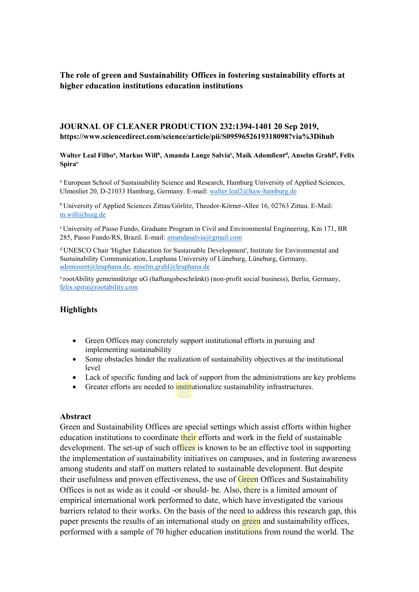**The role of green and Sustainability Offices in fostering sustainability efforts at higher education institutions education institutions** 

### **JOURNAL OF CLEANER PRODUCTION 232:1394-1401 20 Sep 2019, https://www.sciencedirect.com/science/article/pii/S0959652619318098?via%3Dihub**

Walter Leal Filho<sup>a</sup>, Markus Will<sup>b</sup>, Amanda Lange Salvia<sup>c</sup>, Maik Adomßent<sup>d</sup>, Anselm Grahl<sup>d</sup>, Felix **Spirae**

<sup>a</sup> European School of Sustainability Science and Research, Hamburg University of Applied Sciences, Ulmenliet 20, D-21033 Hamburg, Germany. E-mail: walter.leal2@haw-hamburg.de

b University of Applied Sciences Zittau/Görlitz, Theodor-Körner-Allee 16, 02763 Zittau. E-Mail: [m.will@hszg.de](mailto:m.will@hszg.de)

<sup>c</sup> University of Passo Fundo, Graduate Program in Civil and Environmental Engineering, Km 171, BR 285, Passo Fundo/RS, Brazil. E-mail: [amandasalvia@gmail.com](mailto:amandasalvia@gmail.com)

<sup>d</sup> UNESCO Chair 'Higher Education for Sustainable Development', Institute for Environmental and Sustainability Communication, Leuphana University of Lüneburg, Lüneburg, Germany, [adomssent@leuphana.de,](mailto:adomssent@leuphana.de) [anselm.grahl@leuphana.de](mailto:anselm.grahl@leuphana.de)

<sup>e</sup> rootAbility gemeinnützige uG (haftungsbeschränkt) (non-profit social business), Berlin, Germany, [felix.spira@rootability.com](mailto:felix.spira@rootability.com)

#### **Highlights**

- Green Offices may concretely support institutional efforts in pursuing and implementing sustainability
- Some obstacles hinder the realization of sustainability objectives at the institutional level
- Lack of specific funding and lack of support from the administrations are key problems
- Greater efforts are needed to institutionalize sustainability infrastructures.

#### **Abstract**

Green and Sustainability Offices are special settings which assist efforts within higher education institutions to coordinate their efforts and work in the field of sustainable development. The set-up of such offices is known to be an effective tool in supporting the implementation of sustainability initiatives on campuses, and in fostering awareness among students and staff on matters related to sustainable development. But despite their usefulness and proven effectiveness, the use of Green Offices and Sustainability Offices is not as wide as it could -or should- be. Also, there is a limited amount of empirical international work performed to date, which have investigated the various barriers related to their works. On the basis of the need to address this research gap, this paper presents the results of an international study on green and sustainability offices, performed with a sample of 70 higher education institutions from round the world. The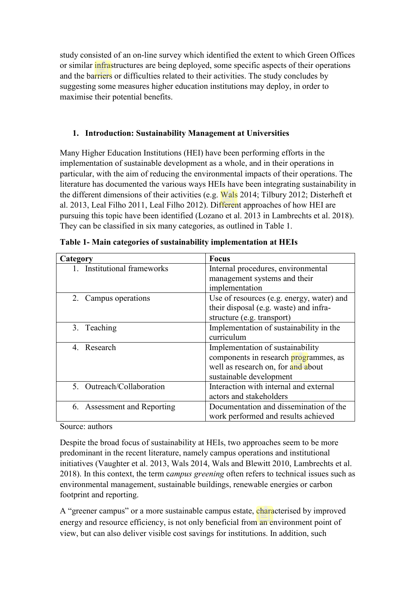study consisted of an on-line survey which identified the extent to which Green Offices or similar infrastructures are being deployed, some specific aspects of their operations and the barriers or difficulties related to their activities. The study concludes by suggesting some measures higher education institutions may deploy, in order to maximise their potential benefits.

# **1. Introduction: Sustainability Management at Universities**

Many Higher Education Institutions (HEI) have been performing efforts in the implementation of sustainable development as a whole, and in their operations in particular, with the aim of reducing the environmental impacts of their operations. The literature has documented the various ways HEIs have been integrating sustainability in the different dimensions of their activities (e.g. Wals 2014; Tilbury 2012; Disterheft et al. 2013, Leal Filho 2011, Leal Filho 2012). Different approaches of how HEI are pursuing this topic have been identified (Lozano et al. 2013 in Lambrechts et al. 2018). They can be classified in six many categories, as outlined in Table 1.

| <b>Focus</b><br>Category    |                                           |  |  |
|-----------------------------|-------------------------------------------|--|--|
| 1. Institutional frameworks | Internal procedures, environmental        |  |  |
|                             | management systems and their              |  |  |
|                             | implementation                            |  |  |
| 2. Campus operations        | Use of resources (e.g. energy, water) and |  |  |
|                             | their disposal (e.g. waste) and infra-    |  |  |
|                             | structure (e.g. transport)                |  |  |
| 3. Teaching                 | Implementation of sustainability in the   |  |  |
|                             | curriculum                                |  |  |
| 4. Research                 | Implementation of sustainability          |  |  |
|                             | components in research programmes, as     |  |  |
|                             | well as research on, for and about        |  |  |
|                             | sustainable development                   |  |  |
| 5. Outreach/Collaboration   | Interaction with internal and external    |  |  |
|                             | actors and stakeholders                   |  |  |
| 6. Assessment and Reporting | Documentation and dissemination of the    |  |  |
|                             | work performed and results achieved       |  |  |

**Table 1- Main categories of sustainability implementation at HEIs**

Source: authors

Despite the broad focus of sustainability at HEIs, two approaches seem to be more predominant in the recent literature, namely campus operations and institutional initiatives (Vaughter et al. 2013, Wals 2014, Wals and Blewitt 2010, Lambrechts et al. 2018). In this context, the term c*ampus greening* often refers to technical issues such as environmental management, sustainable buildings, renewable energies or carbon footprint and reporting.

A "greener campus" or a more sustainable campus estate, characterised by improved energy and resource efficiency, is not only beneficial from an environment point of view, but can also deliver visible cost savings for institutions. In addition, such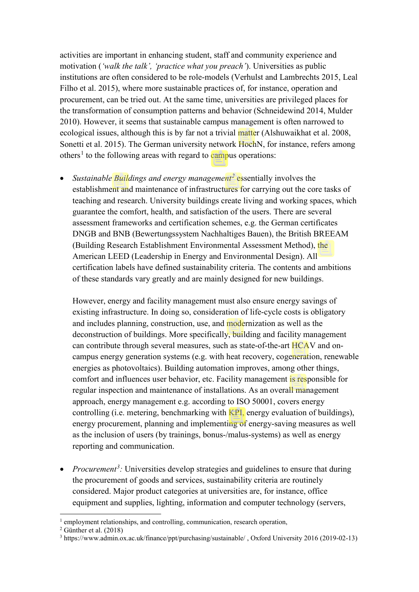activities are important in enhancing student, staff and community experience and motivation (*'walk the talk', 'practice what you preach'*). Universities as public institutions are often considered to be role-models (Verhulst and Lambrechts 2015, Leal Filho et al. 2015), where more sustainable practices of, for instance, operation and procurement, can be tried out. At the same time, universities are privileged places for the transformation of consumption patterns and behavior (Schneidewind 2014, Mulder 2010). However, it seems that sustainable campus management is often narrowed to ecological issues, although this is by far not a trivial matter (Alshuwaikhat et al. 2008, Sonetti et al. 2015). The German university network HochN, for instance, refers among others<sup>[1](#page-3-0)</sup> to the following areas with regard to campus operations:

• *Sustainable Buildings and energy management[2](#page-3-1)* essentially involves the establishment and maintenance of infrastructures for carrying out the core tasks of teaching and research. University buildings create living and working spaces, which guarantee the comfort, health, and satisfaction of the users. There are several assessment frameworks and certification schemes, e.g. the German certificates DNGB and BNB (Bewertungssystem Nachhaltiges Bauen), the British BREEAM (Building Research Establishment Environmental Assessment Method), the American LEED (Leadership in Energy and Environmental Design). All certification labels have defined sustainability criteria. The contents and ambitions of these standards vary greatly and are mainly designed for new buildings.

However, energy and facility management must also ensure energy savings of existing infrastructure. In doing so, consideration of life-cycle costs is obligatory and includes planning, construction, use, and modernization as well as the deconstruction of buildings. More specifically, building and facility management can contribute through several measures, such as state-of-the-art HCAV and oncampus energy generation systems (e.g. with heat recovery, cogeneration, renewable energies as photovoltaics). Building automation improves, among other things, comfort and influences user behavior, etc. Facility management is responsible for regular inspection and maintenance of installations. As an overall management approach, energy management e.g. according to ISO 50001, covers energy controlling (i.e. metering, benchmarking with KPI, energy evaluation of buildings), energy procurement, planning and implementing of energy-saving measures as well as the inclusion of users (by trainings, bonus-/malus-systems) as well as energy reporting and communication.

• *Procurement<sup>[3](#page-4-0)</sup>*: Universities develop strategies and guidelines to ensure that during the procurement of goods and services, sustainability criteria are routinely considered. Major product categories at universities are, for instance, office equipment and supplies, lighting, information and computer technology (servers,

<u>.</u>

<sup>&</sup>lt;sup>1</sup> employment relationships, and controlling, communication, research operation,

<span id="page-3-0"></span> $2$  Günther et al. (2018)

<span id="page-3-1"></span><sup>3</sup> https://www.admin.ox.ac.uk/finance/ppt/purchasing/sustainable/ , Oxford University 2016 (2019-02-13)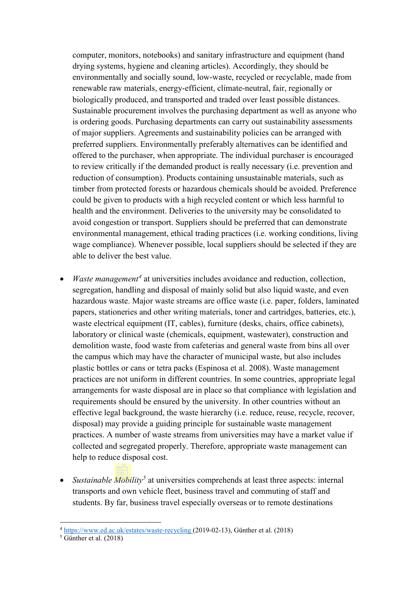computer, monitors, notebooks) and sanitary infrastructure and equipment (hand drying systems, hygiene and cleaning articles). Accordingly, they should be environmentally and socially sound, low-waste, recycled or recyclable, made from renewable raw materials, energy-efficient, climate-neutral, fair, regionally or biologically produced, and transported and traded over least possible distances. Sustainable procurement involves the purchasing department as well as anyone who is ordering goods. Purchasing departments can carry out sustainability assessments of major suppliers. Agreements and sustainability policies can be arranged with preferred suppliers. Environmentally preferably alternatives can be identified and offered to the purchaser, when appropriate. The individual purchaser is encouraged to review critically if the demanded product is really necessary (i.e. prevention and reduction of consumption). Products containing unsustainable materials, such as timber from protected forests or hazardous chemicals should be avoided. Preference could be given to products with a high recycled content or which less harmful to health and the environment. Deliveries to the university may be consolidated to avoid congestion or transport. Suppliers should be preferred that can demonstrate environmental management, ethical trading practices (i.e. working conditions, living wage compliance). Whenever possible, local suppliers should be selected if they are able to deliver the best value.

- *Waste management[4](#page-4-1)* at universities includes avoidance and reduction, collection, segregation, handling and disposal of mainly solid but also liquid waste, and even hazardous waste. Major waste streams are office waste (i.e. paper, folders, laminated papers, stationeries and other writing materials, toner and cartridges, batteries, etc.), waste electrical equipment (IT, cables), furniture (desks, chairs, office cabinets), laboratory or clinical waste (chemicals, equipment, wastewater), construction and demolition waste, food waste from cafeterias and general waste from bins all over the campus which may have the character of municipal waste, but also includes plastic bottles or cans or tetra packs (Espinosa et al. 2008). Waste management practices are not uniform in different countries. In some countries, appropriate legal arrangements for waste disposal are in place so that compliance with legislation and requirements should be ensured by the university. In other countries without an effective legal background, the waste hierarchy (i.e. reduce, reuse, recycle, recover, disposal) may provide a guiding principle for sustainable waste management practices. A number of waste streams from universities may have a market value if collected and segregated properly. Therefore, appropriate waste management can help to reduce disposal cost.
- *Sustainable Mobility[5](#page-5-0)* at universities comprehends at least three aspects: internal transports and own vehicle fleet, business travel and commuting of staff and students. By far, business travel especially overseas or to remote destinations

**.** 

<span id="page-4-0"></span> $\frac{4 \text{ https://www.edu.ac.uk/estates/waste-recycling}}{6 \text{Günther et al.} (2018)}$ 

<span id="page-4-1"></span>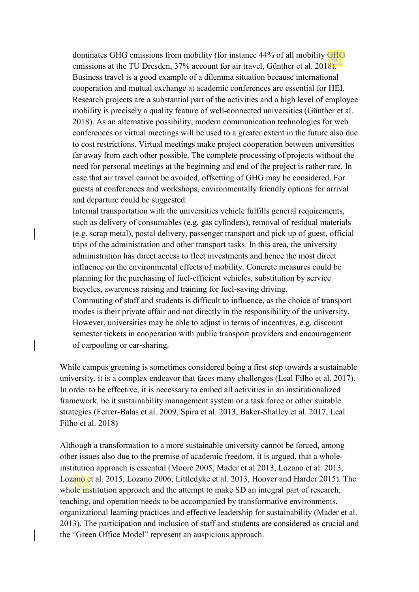dominates GHG emissions from mobility (for instance 44% of all mobility GHG emissions at the TU Dresden, 37% account for air travel, Günther et al. 2018). Business travel is a good example of a dilemma situation because international cooperation and mutual exchange at academic conferences are essential for HEI. Research projects are a substantial part of the activities and a high level of employee mobility is precisely a quality feature of well-connected universities (Günther et al. 2018). As an alternative possibility, modern communication technologies for web conferences or virtual meetings will be used to a greater extent in the future also due to cost restrictions. Virtual meetings make project cooperation between universities far away from each other possible. The complete processing of projects without the need for personal meetings at the beginning and end of the project is rather rare. In case that air travel cannot be avoided, offsetting of GHG may be considered. For guests at conferences and workshops, environmentally friendly options for arrival and departure could be suggested.

Internal transportation with the universities vehicle fulfills general requirements, such as delivery of consumables (e.g. gas cylinders), removal of residual materials (e.g. scrap metal), postal delivery, passenger transport and pick up of guest, official trips of the administration and other transport tasks. In this area, the university administration has direct access to fleet investments and hence the most direct influence on the environmental effects of mobility. Concrete measures could be planning for the purchasing of fuel-efficient vehicles, substitution by service bicycles, awareness raising and training for fuel-saving driving. Commuting of staff and students is difficult to influence, as the choice of transport modes is their private affair and not directly in the responsibility of the university. However, universities may be able to adjust in terms of incentives, e.g. discount semester tickets in cooperation with public transport providers and encouragement

of carpooling or car-sharing.

While campus greening is sometimes considered being a first step towards a sustainable university, it is a complex endeavor that faces many challenges (Leal Filho et al. 2017). In order to be effective, it is necessary to embed all activities in an institutionalized framework, be it sustainability management system or a task force or other suitable strategies (Ferrer-Balas et al. 2009, Spira et al. 2013, Baker-Shalley et al. 2017, Leal Filho et al. 2018)

<span id="page-5-0"></span>Although a transformation to a more sustainable university cannot be forced, among other issues also due to the premise of academic freedom, it is argued, that a wholeinstitution approach is essential (Moore 2005, Mader et al 2013, Lozano et al. 2013, Lozano et al. 2015, Lozano 2006, Littledyke et al. 2013, Hoover and Harder 2015). The whole institution approach and the attempt to make SD an integral part of research, teaching, and operation needs to be accompanied by transformative environments, organizational learning practices and effective leadership for sustainability (Mader et al. 2013). The participation and inclusion of staff and students are considered as crucial and the "Green Office Model" represent an auspicious approach.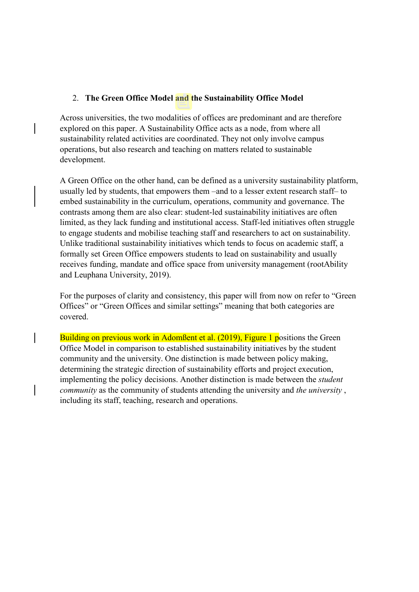## 2. **The Green Office Model and the Sustainability Office Model**

Across universities, the two modalities of offices are predominant and are therefore explored on this paper. A Sustainability Office acts as a node, from where all sustainability related activities are coordinated. They not only involve campus operations, but also research and teaching on matters related to sustainable development.

A Green Office on the other hand, can be defined as a university sustainability platform, usually led by students, that empowers them –and to a lesser extent research staff– to embed sustainability in the curriculum, operations, community and governance. The contrasts among them are also clear: student-led sustainability initiatives are often limited, as they lack funding and institutional access. Staff-led initiatives often struggle to engage students and mobilise teaching staff and researchers to act on sustainability. Unlike traditional sustainability initiatives which tends to focus on academic staff, a formally set Green Office empowers students to lead on sustainability and usually receives funding, mandate and office space from university management (rootAbility and Leuphana University, 2019).

For the purposes of clarity and consistency, this paper will from now on refer to "Green Offices" or "Green Offices and similar settings" meaning that both categories are covered.

Building on previous work in Adomßent et al. (2019), Figure 1 positions the Green Office Model in comparison to established sustainability initiatives by the student community and the university. One distinction is made between policy making, determining the strategic direction of sustainability efforts and project execution, implementing the policy decisions. Another distinction is made between the *student community* as the community of students attending the university and *the university* , including its staff, teaching, research and operations.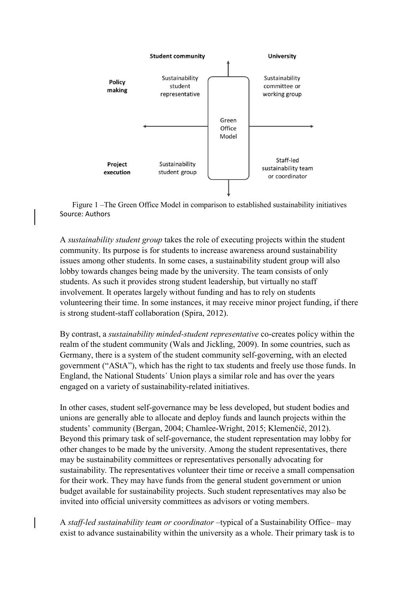

Figure 1 –The Green Office Model in comparison to established sustainability initiatives Source: Authors

A *sustainability student group* takes the role of executing projects within the student community. Its purpose is for students to increase awareness around sustainability issues among other students. In some cases, a sustainability student group will also lobby towards changes being made by the university. The team consists of only students. As such it provides strong student leadership, but virtually no staff involvement. It operates largely without funding and has to rely on students volunteering their time. In some instances, it may receive minor project funding, if there is strong student-staff collaboration (Spira, 2012).

By contrast, a *sustainability minded-student representative* co-creates policy within the realm of the student community (Wals and Jickling, 2009). In some countries, such as Germany, there is a system of the student community self-governing, with an elected government ("AStA"), which has the right to tax students and freely use those funds. In England, the National Students´ Union plays a similar role and has over the years engaged on a variety of sustainability-related initiatives.

In other cases, student self-governance may be less developed, but student bodies and unions are generally able to allocate and deploy funds and launch projects within the students' community (Bergan, 2004; Chamlee-Wright, 2015; Klemenčič, 2012). Beyond this primary task of self-governance, the student representation may lobby for other changes to be made by the university. Among the student representatives, there may be sustainability committees or representatives personally advocating for sustainability. The representatives volunteer their time or receive a small compensation for their work. They may have funds from the general student government or union budget available for sustainability projects. Such student representatives may also be invited into official university committees as advisors or voting members.

A *staff-led sustainability team or coordinator* –typical of a Sustainability Office– may exist to advance sustainability within the university as a whole. Their primary task is to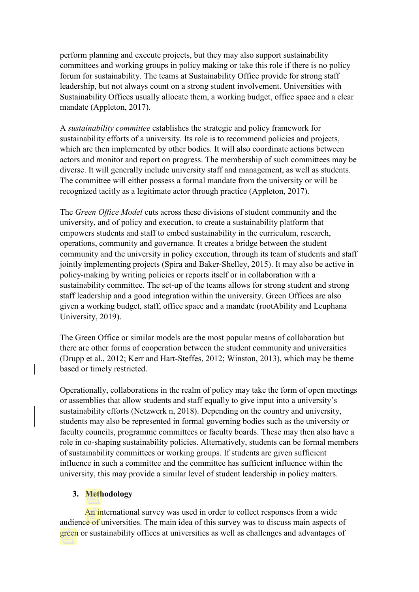perform planning and execute projects, but they may also support sustainability committees and working groups in policy making or take this role if there is no policy forum for sustainability. The teams at Sustainability Office provide for strong staff leadership, but not always count on a strong student involvement. Universities with Sustainability Offices usually allocate them, a working budget, office space and a clear mandate (Appleton, 2017).

A *sustainability committee* establishes the strategic and policy framework for sustainability efforts of a university. Its role is to recommend policies and projects, which are then implemented by other bodies. It will also coordinate actions between actors and monitor and report on progress. The membership of such committees may be diverse. It will generally include university staff and management, as well as students. The committee will either possess a formal mandate from the university or will be recognized tacitly as a legitimate actor through practice (Appleton, 2017).

The *Green Office Model* cuts across these divisions of student community and the university, and of policy and execution, to create a sustainability platform that empowers students and staff to embed sustainability in the curriculum, research, operations, community and governance. It creates a bridge between the student community and the university in policy execution, through its team of students and staff jointly implementing projects (Spira and Baker-Shelley, 2015). It may also be active in policy-making by writing policies or reports itself or in collaboration with a sustainability committee. The set-up of the teams allows for strong student and strong staff leadership and a good integration within the university. Green Offices are also given a working budget, staff, office space and a mandate (rootAbility and Leuphana University, 2019).

The Green Office or similar models are the most popular means of collaboration but there are other forms of cooperation between the student community and universities (Drupp et al., 2012; Kerr and Hart-Steffes, 2012; Winston, 2013), which may be theme based or timely restricted.

Operationally, collaborations in the realm of policy may take the form of open meetings or assemblies that allow students and staff equally to give input into a university's sustainability efforts (Netzwerk n, 2018). Depending on the country and university, students may also be represented in formal governing bodies such as the university or faculty councils, programme committees or faculty boards. These may then also have a role in co-shaping sustainability policies. Alternatively, students can be formal members of sustainability committees or working groups. If students are given sufficient influence in such a committee and the committee has sufficient influence within the university, this may provide a similar level of student leadership in policy matters.

### **3. Methodology**

An international survey was used in order to collect responses from a wide audience of universities. The main idea of this survey was to discuss main aspects of green or sustainability offices at universities as well as challenges and advantages of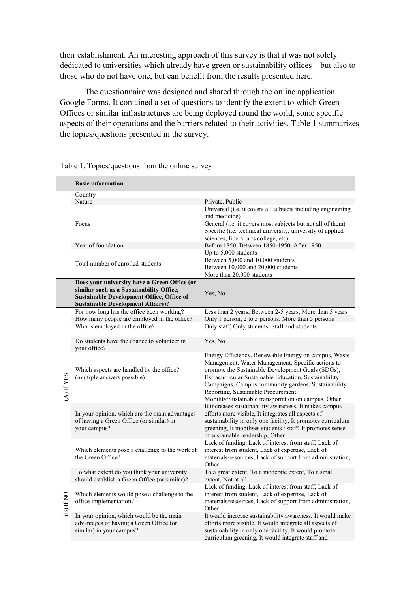their establishment. An interesting approach of this survey is that it was not solely dedicated to universities which already have green or sustainability offices – but also to those who do not have one, but can benefit from the results presented here.

The questionnaire was designed and shared through the online application Google Forms. It contained a set of questions to identify the extent to which Green Offices or similar infrastructures are being deployed round the world, some specific aspects of their operations and the barriers related to their activities. Table 1 summarizes the topics/questions presented in the survey.

|           | <b>Basic information</b>                                                                                                                 |                                                                                                                                                                                                                                                                                                                                                                               |
|-----------|------------------------------------------------------------------------------------------------------------------------------------------|-------------------------------------------------------------------------------------------------------------------------------------------------------------------------------------------------------------------------------------------------------------------------------------------------------------------------------------------------------------------------------|
|           | Country                                                                                                                                  |                                                                                                                                                                                                                                                                                                                                                                               |
|           | Nature                                                                                                                                   | Private, Public                                                                                                                                                                                                                                                                                                                                                               |
|           | Focus                                                                                                                                    | Universal (i.e. it covers all subjects including engineering<br>and medicine)<br>General (i.e. it covers most subjects but not all of them)<br>Specific (i.e. technical university, university of applied<br>sciences, liberal arts college, etc)                                                                                                                             |
|           | Year of foundation                                                                                                                       | Before 1850, Between 1850-1950, After 1950                                                                                                                                                                                                                                                                                                                                    |
|           | Total number of enrolled students                                                                                                        | Up to 5,000 students<br>Between 5,000 and 10,000 students<br>Between 10,000 and 20,000 students<br>More than 20,000 students                                                                                                                                                                                                                                                  |
|           | Does your university have a Green Office (or                                                                                             |                                                                                                                                                                                                                                                                                                                                                                               |
|           | similar such as a Sustainability Office,<br><b>Sustainable Development Office, Office of</b><br><b>Sustainable Development Affairs)?</b> | Yes, No                                                                                                                                                                                                                                                                                                                                                                       |
| A) If YES | For how long has the office been working?                                                                                                | Less than 2 years, Between 2-5 years, More than 5 years                                                                                                                                                                                                                                                                                                                       |
|           | How many people are employed in the office?                                                                                              | Only 1 person, 2 to 5 persons, More than 5 persons                                                                                                                                                                                                                                                                                                                            |
|           | Who is employed in the office?                                                                                                           | Only staff, Only students, Staff and students                                                                                                                                                                                                                                                                                                                                 |
|           | Do students have the chance to volunteer in<br>your office?                                                                              | Yes, No                                                                                                                                                                                                                                                                                                                                                                       |
|           | Which aspects are handled by the office?<br>(multiple answers possible)                                                                  | Energy Efficiency, Renewable Energy on campus, Waste<br>Management, Water Management, Specific actions to<br>promote the Sustainable Development Goals (SDGs),<br>Extracurricular Sustainable Education, Sustainability<br>Campaigns, Campus community gardens, Sustainability<br>Reporting, Sustainable Procurement,<br>Mobility/Sustainable transportation on campus, Other |
|           | In your opinion, which are the main advantages<br>of having a Green Office (or similar) in<br>your campus?                               | It increases sustainability awareness, It makes campus<br>efforts more visible, It integrates all aspects of<br>sustainability in only one facility, It promotes curriculum<br>greening, It mobilises students / staff, It promotes sense<br>of sustainable leadership, Other                                                                                                 |
|           | Which elements pose a challenge to the work of<br>the Green Office?                                                                      | Lack of funding, Lack of interest from staff, Lack of<br>interest from student, Lack of expertise, Lack of<br>materials/resources, Lack of support from administration,<br>Other                                                                                                                                                                                              |
| D) If NO  | To what extent do you think your university<br>should establish a Green Office (or similar)?                                             | To a great extent, To a moderate extent, To a small<br>extent, Not at all                                                                                                                                                                                                                                                                                                     |
|           | Which elements would pose a challenge to the<br>office implementation?                                                                   | Lack of funding, Lack of interest from staff, Lack of<br>interest from student, Lack of expertise, Lack of<br>materials/resources, Lack of support from administration,<br>Other                                                                                                                                                                                              |
|           | In your opinion, which would be the main<br>advantages of having a Green Office (or<br>similar) in your campus?                          | It would increase sustainability awareness, It would make<br>efforts more visible, It would integrate all aspects of<br>sustainability in only one facility, It would promote<br>curriculum greening, It would integrate staff and                                                                                                                                            |

Table 1. Topics/questions from the online survey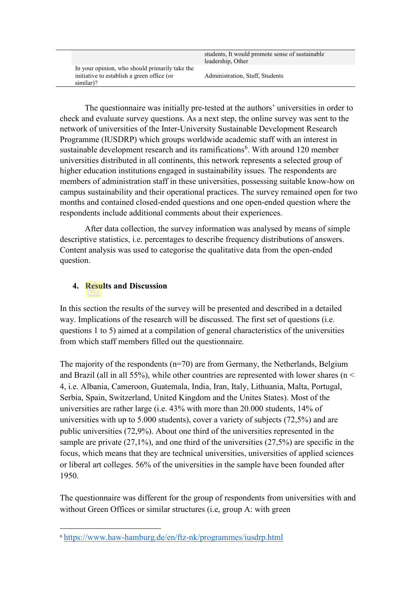In your opinion, who should primarily take the initiative to establish a green office (or similar)?

Administration, Staff, Students

The questionnaire was initially pre-tested at the authors' universities in order to check and evaluate survey questions. As a next step, the online survey was sent to the network of universities of the Inter-University Sustainable Development Research Programme (IUSDRP) which groups worldwide academic staff with an interest in sustainable development research and its ramifications<sup>[6](#page-10-0)</sup>. With around 120 member universities distributed in all continents, this network represents a selected group of higher education institutions engaged in sustainability issues. The respondents are members of administration staff in these universities, possessing suitable know-how on campus sustainability and their operational practices. The survey remained open for two months and contained closed-ended questions and one open-ended question where the respondents include additional comments about their experiences.

After data collection, the survey information was analysed by means of simple descriptive statistics, i.e. percentages to describe frequency distributions of answers. Content analysis was used to categorise the qualitative data from the open-ended question.

# **4. Results and Discussion**

<u>.</u>

In this section the results of the survey will be presented and described in a detailed way. Implications of the research will be discussed. The first set of questions (i.e. questions 1 to 5) aimed at a compilation of general characteristics of the universities from which staff members filled out the questionnaire.

The majority of the respondents  $(n=70)$  are from Germany, the Netherlands, Belgium and Brazil (all in all 55%), while other countries are represented with lower shares ( $n <$ 4, i.e. Albania, Cameroon, Guatemala, India, Iran, Italy, Lithuania, Malta, Portugal, Serbia, Spain, Switzerland, United Kingdom and the Unites States). Most of the universities are rather large (i.e. 43% with more than 20.000 students, 14% of universities with up to 5.000 students), cover a variety of subjects (72,5%) and are public universities (72,9%). About one third of the universities represented in the sample are private (27,1%), and one third of the universities (27,5%) are specific in the focus, which means that they are technical universities, universities of applied sciences or liberal art colleges. 56% of the universities in the sample have been founded after 1950.

The questionnaire was different for the group of respondents from universities with and without Green Offices or similar structures (i.e, group A: with green

<span id="page-10-0"></span><sup>6</sup> <https://www.haw-hamburg.de/en/ftz-nk/programmes/iusdrp.html>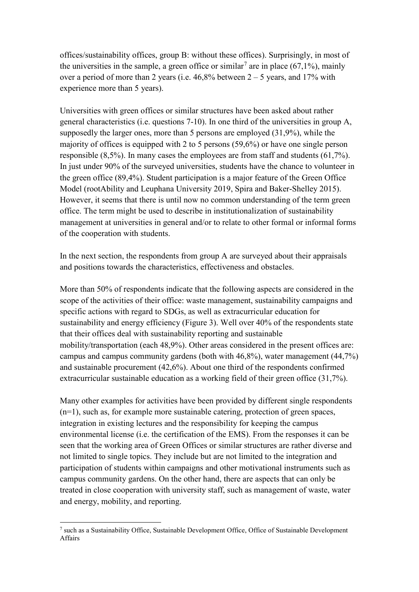offices/sustainability offices, group B: without these offices). Surprisingly, in most of the universities in the sample, a green office or similar<sup>[7](#page-11-0)</sup> are in place (67,1%), mainly over a period of more than 2 years (i.e.  $46,8\%$  between  $2 - 5$  years, and 17% with experience more than 5 years).

Universities with green offices or similar structures have been asked about rather general characteristics (i.e. questions 7-10). In one third of the universities in group A, supposedly the larger ones, more than 5 persons are employed (31,9%), while the majority of offices is equipped with 2 to 5 persons (59,6%) or have one single person responsible (8,5%). In many cases the employees are from staff and students (61,7%). In just under 90% of the surveyed universities, students have the chance to volunteer in the green office (89,4%). Student participation is a major feature of the Green Office Model (rootAbility and Leuphana University 2019, Spira and Baker-Shelley 2015). However, it seems that there is until now no common understanding of the term green office. The term might be used to describe in institutionalization of sustainability management at universities in general and/or to relate to other formal or informal forms of the cooperation with students.

In the next section, the respondents from group A are surveyed about their appraisals and positions towards the characteristics, effectiveness and obstacles.

More than 50% of respondents indicate that the following aspects are considered in the scope of the activities of their office: waste management, sustainability campaigns and specific actions with regard to SDGs, as well as extracurricular education for sustainability and energy efficiency (Figure 3). Well over 40% of the respondents state that their offices deal with sustainability reporting and sustainable mobility/transportation (each 48,9%). Other areas considered in the present offices are: campus and campus community gardens (both with 46,8%), water management (44,7%) and sustainable procurement (42,6%). About one third of the respondents confirmed extracurricular sustainable education as a working field of their green office (31,7%).

Many other examples for activities have been provided by different single respondents (n=1), such as, for example more sustainable catering, protection of green spaces, integration in existing lectures and the responsibility for keeping the campus environmental license (i.e. the certification of the EMS). From the responses it can be seen that the working area of Green Offices or similar structures are rather diverse and not limited to single topics. They include but are not limited to the integration and participation of students within campaigns and other motivational instruments such as campus community gardens. On the other hand, there are aspects that can only be treated in close cooperation with university staff, such as management of waste, water and energy, mobility, and reporting.

**.** 

<span id="page-11-0"></span><sup>7</sup> such as a Sustainability Office, Sustainable Development Office, Office of Sustainable Development Affairs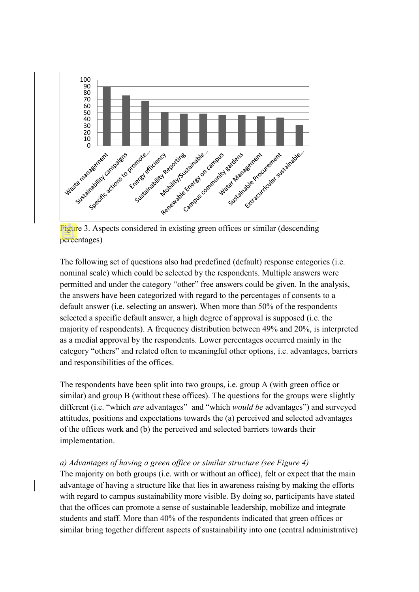

Figure 3. Aspects considered in existing green offices or similar (descending percentages)

The following set of questions also had predefined (default) response categories (i.e. nominal scale) which could be selected by the respondents. Multiple answers were permitted and under the category "other" free answers could be given. In the analysis, the answers have been categorized with regard to the percentages of consents to a default answer (i.e. selecting an answer). When more than 50% of the respondents selected a specific default answer, a high degree of approval is supposed (i.e. the majority of respondents). A frequency distribution between 49% and 20%, is interpreted as a medial approval by the respondents. Lower percentages occurred mainly in the category "others" and related often to meaningful other options, i.e. advantages, barriers and responsibilities of the offices.

The respondents have been split into two groups, i.e. group A (with green office or similar) and group B (without these offices). The questions for the groups were slightly different (i.e. "which *are* advantages" and "which *would be* advantages") and surveyed attitudes, positions and expectations towards the (a) perceived and selected advantages of the offices work and (b) the perceived and selected barriers towards their implementation.

### *a) Advantages of having a green office or similar structure (see Figure 4)*

The majority on both groups (i.e. with or without an office), felt or expect that the main advantage of having a structure like that lies in awareness raising by making the efforts with regard to campus sustainability more visible. By doing so, participants have stated that the offices can promote a sense of sustainable leadership, mobilize and integrate students and staff. More than 40% of the respondents indicated that green offices or similar bring together different aspects of sustainability into one (central administrative)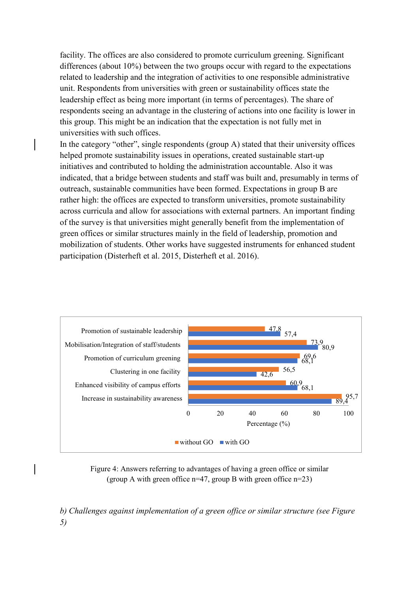facility. The offices are also considered to promote curriculum greening. Significant differences (about 10%) between the two groups occur with regard to the expectations related to leadership and the integration of activities to one responsible administrative unit. Respondents from universities with green or sustainability offices state the leadership effect as being more important (in terms of percentages). The share of respondents seeing an advantage in the clustering of actions into one facility is lower in this group. This might be an indication that the expectation is not fully met in universities with such offices.

In the category "other", single respondents (group A) stated that their university offices helped promote sustainability issues in operations, created sustainable start-up initiatives and contributed to holding the administration accountable. Also it was indicated, that a bridge between students and staff was built and, presumably in terms of outreach, sustainable communities have been formed. Expectations in group B are rather high: the offices are expected to transform universities, promote sustainability across curricula and allow for associations with external partners. An important finding of the survey is that universities might generally benefit from the implementation of green offices or similar structures mainly in the field of leadership, promotion and mobilization of students. Other works have suggested instruments for enhanced student participation (Disterheft et al. 2015, Disterheft et al. 2016).



Figure 4: Answers referring to advantages of having a green office or similar (group A with green office  $n=47$ , group B with green office  $n=23$ )

*b) Challenges against implementation of a green office or similar structure (see Figure 5)*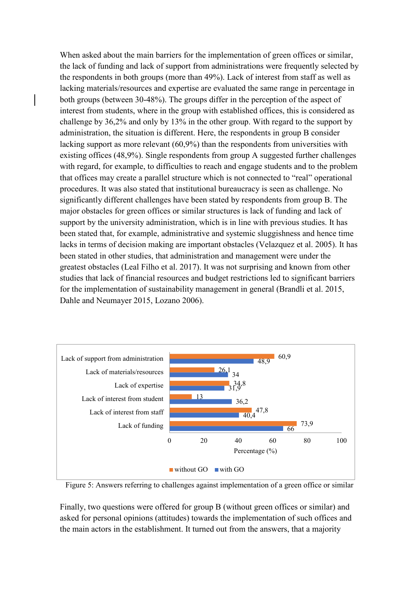When asked about the main barriers for the implementation of green offices or similar, the lack of funding and lack of support from administrations were frequently selected by the respondents in both groups (more than 49%). Lack of interest from staff as well as lacking materials/resources and expertise are evaluated the same range in percentage in both groups (between 30-48%). The groups differ in the perception of the aspect of interest from students, where in the group with established offices, this is considered as challenge by 36,2% and only by 13% in the other group. With regard to the support by administration, the situation is different. Here, the respondents in group B consider lacking support as more relevant (60,9%) than the respondents from universities with existing offices (48,9%). Single respondents from group A suggested further challenges with regard, for example, to difficulties to reach and engage students and to the problem that offices may create a parallel structure which is not connected to "real" operational procedures. It was also stated that institutional bureaucracy is seen as challenge. No significantly different challenges have been stated by respondents from group B. The major obstacles for green offices or similar structures is lack of funding and lack of support by the university administration, which is in line with previous studies. It has been stated that, for example, administrative and systemic sluggishness and hence time lacks in terms of decision making are important obstacles (Velazquez et al. 2005). It has been stated in other studies, that administration and management were under the greatest obstacles (Leal Filho et al. 2017). It was not surprising and known from other studies that lack of financial resources and budget restrictions led to significant barriers for the implementation of sustainability management in general (Brandli et al. 2015, Dahle and Neumayer 2015, Lozano 2006).



Figure 5: Answers referring to challenges against implementation of a green office or similar

Finally, two questions were offered for group B (without green offices or similar) and asked for personal opinions (attitudes) towards the implementation of such offices and the main actors in the establishment. It turned out from the answers, that a majority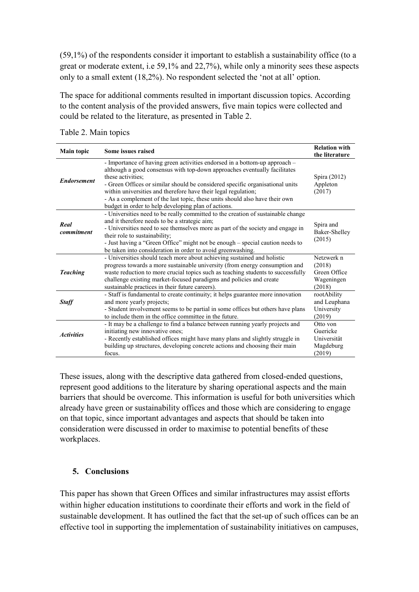(59,1%) of the respondents consider it important to establish a sustainability office (to a great or moderate extent, i.e 59,1% and 22,7%), while only a minority sees these aspects only to a small extent (18,2%). No respondent selected the 'not at all' option.

The space for additional comments resulted in important discussion topics. According to the content analysis of the provided answers, five main topics were collected and could be related to the literature, as presented in Table 2.

| <b>Main topic</b>  | Some issues raised                                                                                                                                                                                                                                                                                                                                                                                                                                                    | <b>Relation with</b><br>the literature                       |
|--------------------|-----------------------------------------------------------------------------------------------------------------------------------------------------------------------------------------------------------------------------------------------------------------------------------------------------------------------------------------------------------------------------------------------------------------------------------------------------------------------|--------------------------------------------------------------|
| <b>Endorsement</b> | - Importance of having green activities endorsed in a bottom-up approach -<br>although a good consensus with top-down approaches eventually facilitates<br>these activities:<br>- Green Offices or similar should be considered specific organisational units<br>within universities and therefore have their legal regulation;<br>- As a complement of the last topic, these units should also have their own<br>budget in order to help developing plan of actions. | Spira (2012)<br>Appleton<br>(2017)                           |
| Real<br>commitment | - Universities need to be really committed to the creation of sustainable change<br>and it therefore needs to be a strategic aim;<br>- Universities need to see themselves more as part of the society and engage in<br>their role to sustainability;<br>- Just having a "Green Office" might not be enough - special caution needs to<br>be taken into consideration in order to avoid greenwashing.                                                                 | Spira and<br>Baker-Shelley<br>(2015)                         |
| <b>Teaching</b>    | - Universities should teach more about achieving sustained and holistic<br>progress towards a more sustainable university (from energy consumption and<br>waste reduction to more crucial topics such as teaching students to successfully<br>challenge existing market-focused paradigms and policies and create<br>sustainable practices in their future careers).                                                                                                  | Netzwerk n<br>(2018)<br>Green Office<br>Wageningen<br>(2018) |
| <b>Staff</b>       | - Staff is fundamental to create continuity; it helps guarantee more innovation<br>and more yearly projects;<br>- Student involvement seems to be partial in some offices but others have plans<br>to include them in the office committee in the future.                                                                                                                                                                                                             | rootAbility<br>and Leuphana<br>University<br>(2019)          |
| <b>Activities</b>  | - It may be a challenge to find a balance between running yearly projects and<br>initiating new innovative ones;<br>- Recently established offices might have many plans and slightly struggle in<br>building up structures, developing concrete actions and choosing their main<br>focus.                                                                                                                                                                            | Otto von<br>Guericke<br>Universität<br>Magdeburg<br>(2019)   |

Table 2. Main topics

These issues, along with the descriptive data gathered from closed-ended questions, represent good additions to the literature by sharing operational aspects and the main barriers that should be overcome. This information is useful for both universities which already have green or sustainability offices and those which are considering to engage on that topic, since important advantages and aspects that should be taken into consideration were discussed in order to maximise to potential benefits of these workplaces.

## **5. Conclusions**

This paper has shown that Green Offices and similar infrastructures may assist efforts within higher education institutions to coordinate their efforts and work in the field of sustainable development. It has outlined the fact that the set-up of such offices can be an effective tool in supporting the implementation of sustainability initiatives on campuses,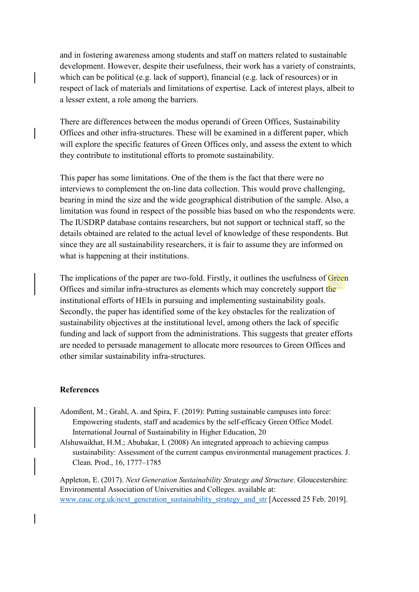and in fostering awareness among students and staff on matters related to sustainable development. However, despite their usefulness, their work has a variety of constraints, which can be political (e.g. lack of support), financial (e.g. lack of resources) or in respect of lack of materials and limitations of expertise. Lack of interest plays, albeit to a lesser extent, a role among the barriers.

There are differences between the modus operandi of Green Offices, Sustainability Offices and other infra-structures. These will be examined in a different paper, which will explore the specific features of Green Offices only, and assess the extent to which they contribute to institutional efforts to promote sustainability.

This paper has some limitations. One of the them is the fact that there were no interviews to complement the on-line data collection. This would prove challenging, bearing in mind the size and the wide geographical distribution of the sample. Also, a limitation was found in respect of the possible bias based on who the respondents were. The IUSDRP database contains researchers, but not support or technical staff, so the details obtained are related to the actual level of knowledge of these respondents. But since they are all sustainability researchers, it is fair to assume they are informed on what is happening at their institutions.

The implications of the paper are two-fold. Firstly, it outlines the usefulness of Green Offices and similar infra-structures as elements which may concretely support the institutional efforts of HEIs in pursuing and implementing sustainability goals. Secondly, the paper has identified some of the key obstacles for the realization of sustainability objectives at the institutional level, among others the lack of specific funding and lack of support from the administrations. This suggests that greater efforts are needed to persuade management to allocate more resources to Green Offices and other similar sustainability infra-structures.

### **References**

- Adomßent, M.; Grahl, A. and Spira, F. (2019): Putting sustainable campuses into force: Empowering students, staff and academics by the self-efficacy Green Office Model. International Journal of Sustainability in Higher Education, 20
- Alshuwaikhat, H.M.; Abubakar, I. (2008) An integrated approach to achieving campus sustainability: Assessment of the current campus environmental management practices. J. Clean. Prod., 16, 1777–1785

Appleton, E. (2017). *Next Generation Sustainability Strategy and Structure*. Gloucestershire: Environmental Association of Universities and Colleges. available at: [www.eauc.org.uk/next\\_generation\\_sustainability\\_strategy\\_and\\_str](http://www.eauc.org.uk/next_generation_sustainability_strategy_and_str) [Accessed 25 Feb. 2019].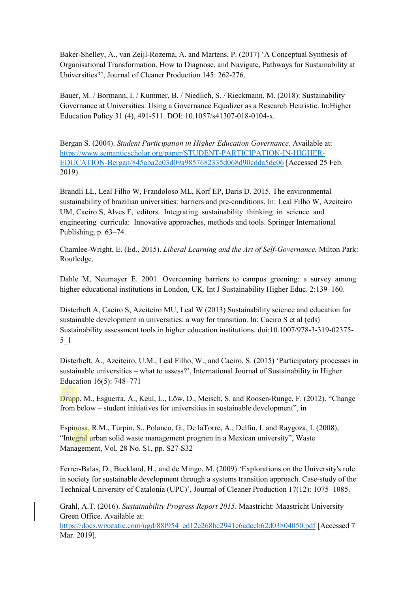Baker-Shelley, A., van Zeijl-Rozema, A. and Martens, P. (2017) 'A Conceptual Synthesis of Organisational Transformation. How to Diagnose, and Navigate, Pathways for Sustainability at Universities?', Journal of Cleaner Production 145: 262-276.

Bauer, M. / Bormann, I. / Kummer, B. / Niedlich, S. / Rieckmann, M. (2018): Sustainability Governance at Universities: Using a Governance Equalizer as a Research Heuristic. In:Higher Education Policy 31 (4), 491-511. DOI: 10.1057/s41307-018-0104-x.

Bergan S. (2004). *Student Participation in Higher Education Governance.* Available at: [https://www.semanticscholar.org/paper/STUDENT-PARTICIPATION-IN-HIGHER-](https://www.semanticscholar.org/paper/STUDENT-PARTICIPATION-IN-HIGHER-EDUCATION-Bergan/845aba2e03d09a9857682335d068d90cdda5dc06)[EDUCATION-Bergan/845aba2e03d09a9857682335d068d90cdda5dc06](https://www.semanticscholar.org/paper/STUDENT-PARTICIPATION-IN-HIGHER-EDUCATION-Bergan/845aba2e03d09a9857682335d068d90cdda5dc06) [Accessed 25 Feb. 2019).

Brandli LL, Leal Filho W, Frandoloso ML, Korf EP, Daris D. 2015. The environmental sustainability of brazilian universities: barriers and pre-conditions. In: Leal Filho W, Azeiteiro UM, Caeiro S, Alves F, editors. Integrating sustainability thinking in science and engineering curricula: Innovative approaches, methods and tools. Springer International Publishing; p. 63–74.

Chamlee-Wright, E. (Ed., 2015). *Liberal Learning and the Art of Self-Governance.* Milton Park: Routledge.

Dahle M, Neumayer E. 2001. Overcoming barriers to campus greening: a survey among higher educational institutions in London, UK. Int J Sustainability Higher Educ. 2:139–160.

Disterheft A, Caeiro S, Azeiteiro MU, Leal W (2013) Sustainability science and education for sustainable development in universities: a way for transition. In: Caeiro S et al (eds) Sustainability assessment tools in higher education institutions. doi:10.1007/978-3-319-02375- 5\_1

Disterheft, A., Azeiteiro, U.M., Leal Filho, W., and Caeiro, S. (2015) 'Participatory processes in sustainable universities – what to assess?', International Journal of Sustainability in Higher Education 16(5): 748–771

Drupp, M., Esguerra, A., Keul, L., Löw, D., Meisch, S. and Roosen-Runge, F. (2012). "Change from below – student initiatives for universities in sustainable development", in

Espinosa, R.M., Turpin, S., Polanco, G., De laTorre, A., Delfín, I. and Raygoza, I. (2008), "Integral urban solid waste management program in a Mexican university", Waste Management, Vol. 28 No. S1, pp. S27-S32

Ferrer-Balas, D., Buckland, H., and de Mingo, M. (2009) 'Explorations on the University's role in society for sustainable development through a systems transition approach. Case-study of the Technical University of Catalonia (UPC)', Journal of Cleaner Production 17(12): 1075–1085.

Grahl, A.T. (2016). *Sustainability Progress Report 2015*. Maastricht: Maastricht University Green Office. Available at:

[https://docs.wixstatic.com/ugd/88f954\\_ed12e268be2941e6adccb62d03804050.pdf](https://docs.wixstatic.com/ugd/88f954_ed12e268be2941e6adccb62d03804050.pdf) [Accessed 7 Mar. 2019].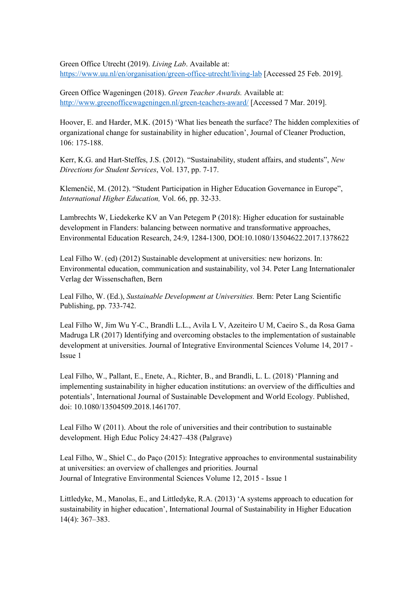Green Office Utrecht (2019). *Living Lab*. Available at: <https://www.uu.nl/en/organisation/green-office-utrecht/living-lab> [Accessed 25 Feb. 2019].

Green Office Wageningen (2018). *Green Teacher Awards.* Available at: <http://www.greenofficewageningen.nl/green-teachers-award/> [Accessed 7 Mar. 2019].

Hoover, E. and Harder, M.K. (2015) 'What lies beneath the surface? The hidden complexities of organizational change for sustainability in higher education', Journal of Cleaner Production, 106: 175-188.

Kerr, K.G. and Hart-Steffes, J.S. (2012). "Sustainability, student affairs, and students", *New Directions for Student Services*, Vol. 137, pp. 7-17.

Klemenčič, M. (2012). "Student Participation in Higher Education Governance in Europe", *International Higher Education,* Vol. 66, pp. 32-33.

Lambrechts W, Liedekerke KV an Van Petegem P (2018): Higher education for sustainable development in Flanders: balancing between normative and transformative approaches, Environmental Education Research, 24:9, 1284-1300, DOI:10.1080/13504622.2017.1378622

Leal Filho W. (ed) (2012) Sustainable development at universities: new horizons. In: Environmental education, communication and sustainability, vol 34. Peter Lang Internationaler Verlag der Wissenschaften, Bern

Leal Filho, W. (Ed.), *Sustainable Development at Universities.* Bern: Peter Lang Scientific Publishing, pp. 733-742.

Leal Filho W, Jim Wu Y-C., Brandli L.L., Avila L V, Azeiteiro U M, Caeiro S., da Rosa Gama Madruga LR (2017) Identifying and overcoming obstacles to the implementation of sustainable development at universities. Journal of Integrative Environmental Sciences Volume 14, 2017 - Issue 1

Leal Filho, W., Pallant, E., Enete, A., Richter, B., and Brandli, L. L. (2018) 'Planning and implementing sustainability in higher education institutions: an overview of the difficulties and potentials', International Journal of Sustainable Development and World Ecology. Published, doi: 10.1080/13504509.2018.1461707.

Leal Filho W (2011). About the role of universities and their contribution to sustainable development. High Educ Policy 24:427–438 (Palgrave)

Leal Filho, W., Shiel C., do Paço (2015): Integrative approaches to environmental sustainability at universities: an overview of challenges and priorities. Journal Journal of Integrative Environmental Sciences Volume 12, 2015 - Issue 1

Littledyke, M., Manolas, E., and Littledyke, R.A. (2013) 'A systems approach to education for sustainability in higher education', International Journal of Sustainability in Higher Education 14(4): 367–383.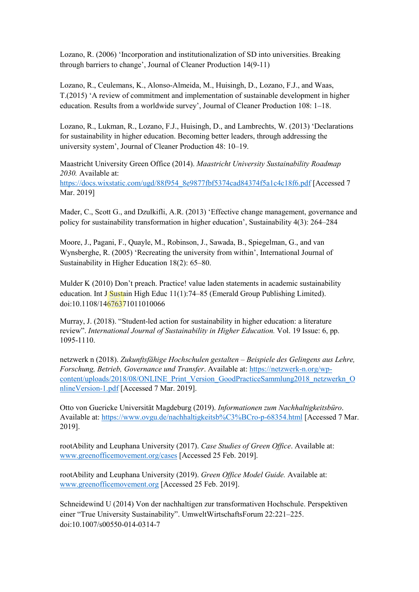Lozano, R. (2006) 'Incorporation and institutionalization of SD into universities. Breaking through barriers to change', Journal of Cleaner Production 14(9-11)

Lozano, R., Ceulemans, K., Alonso-Almeida, M., Huisingh, D., Lozano, F.J., and Waas, T.(2015) 'A review of commitment and implementation of sustainable development in higher education. Results from a worldwide survey', Journal of Cleaner Production 108: 1–18.

Lozano, R., Lukman, R., Lozano, F.J., Huisingh, D., and Lambrechts, W. (2013) 'Declarations for sustainability in higher education. Becoming better leaders, through addressing the university system', Journal of Cleaner Production 48: 10–19.

Maastricht University Green Office (2014). *Maastricht University Sustainability Roadmap 2030.* Available at: [https://docs.wixstatic.com/ugd/88f954\\_8e9877fbf5374cad84374f5a1c4c18f6.pdf](https://docs.wixstatic.com/ugd/88f954_8e9877fbf5374cad84374f5a1c4c18f6.pdf) [Accessed 7 Mar. 2019]

Mader, C., Scott G., and Dzulkifli, A.R. (2013) 'Effective change management, governance and policy for sustainability transformation in higher education', Sustainability 4(3): 264–284

Moore, J., Pagani, F., Quayle, M., Robinson, J., Sawada, B., Spiegelman, G., and van Wynsberghe, R. (2005) 'Recreating the university from within', International Journal of Sustainability in Higher Education 18(2): 65–80.

Mulder K (2010) Don't preach. Practice! value laden statements in academic sustainability education. Int J Sustain High Educ 11(1):74–85 (Emerald Group Publishing Limited). doi:10.1108/14676371011010066

Murray, J. (2018). "Student-led action for sustainability in higher education: a literature review". *International Journal of Sustainability in Higher Education.* Vol. 19 Issue: 6, pp. 1095-1110.

netzwerk n (2018). *Zukunftsfähige Hochschulen gestalten – Beispiele des Gelingens aus Lehre, Forschung, Betrieb, Governance und Transfer*. Available at: [https://netzwerk-n.org/wp](https://netzwerk-n.org/wp-content/uploads/2018/08/ONLINE_Print_Version_GoodPracticeSammlung2018_netzwerkn_OnlineVersion-1.pdf)[content/uploads/2018/08/ONLINE\\_Print\\_Version\\_GoodPracticeSammlung2018\\_netzwerkn\\_O](https://netzwerk-n.org/wp-content/uploads/2018/08/ONLINE_Print_Version_GoodPracticeSammlung2018_netzwerkn_OnlineVersion-1.pdf) [nlineVersion-1.pdf](https://netzwerk-n.org/wp-content/uploads/2018/08/ONLINE_Print_Version_GoodPracticeSammlung2018_netzwerkn_OnlineVersion-1.pdf) [Accessed 7 Mar. 2019].

Otto von Guericke Universität Magdeburg (2019). *Informationen zum Nachhaltigkeitsbüro*. Available at:<https://www.ovgu.de/nachhaltigkeitsb%C3%BCro-p-68354.html> [Accessed 7 Mar. 2019].

rootAbility and Leuphana University (2017). *Case Studies of Green Office*. Available at: [www.greenofficemovement.org/](http://www.greenofficemovement.org/)cases [Accessed 25 Feb. 2019].

rootAbility and Leuphana University (2019). *Green Office Model Guide.* Available at: [www.greenofficemovement.org](http://www.greenofficemovement.org/) [Accessed 25 Feb. 2019].

Schneidewind U (2014) Von der nachhaltigen zur transformativen Hochschule. Perspektiven einer "True University Sustainability". UmweltWirtschaftsForum 22:221–225. doi:10.1007/s00550-014-0314-7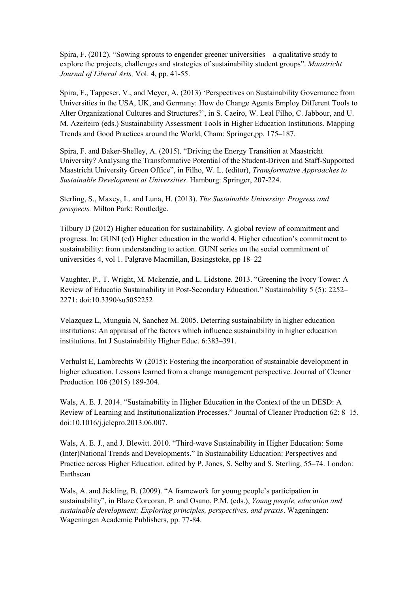Spira, F. (2012). "Sowing sprouts to engender greener universities – a qualitative study to explore the projects, challenges and strategies of sustainability student groups". *Maastricht Journal of Liberal Arts,* Vol. 4, pp. 41-55.

Spira, F., Tappeser, V., and Meyer, A. (2013) 'Perspectives on Sustainability Governance from Universities in the USA, UK, and Germany: How do Change Agents Employ Different Tools to Alter Organizational Cultures and Structures?', in S. Caeiro, W. Leal Filho, C. Jabbour, and U. M. Azeiteiro (eds.) Sustainability Assessment Tools in Higher Education Institutions. Mapping Trends and Good Practices around the World, Cham: Springer,pp. 175–187.

Spira, F. and Baker-Shelley, A. (2015). "Driving the Energy Transition at Maastricht University? Analysing the Transformative Potential of the Student-Driven and Staff-Supported Maastricht University Green Office", in Filho, W. L. (editor), *Transformative Approaches to Sustainable Development at Universities*. Hamburg: Springer, 207-224.

Sterling, S., Maxey, L. and Luna, H. (2013). *The Sustainable University: Progress and prospects.* Milton Park: Routledge.

Tilbury D (2012) Higher education for sustainability. A global review of commitment and progress. In: GUNI (ed) Higher education in the world 4. Higher education's commitment to sustainability: from understanding to action. GUNI series on the social commitment of universities 4, vol 1. Palgrave Macmillan, Basingstoke, pp 18–22

Vaughter, P., T. Wright, M. Mckenzie, and L. Lidstone. 2013. "Greening the Ivory Tower: A Review of Educatio Sustainability in Post-Secondary Education." Sustainability 5 (5): 2252– 2271: doi:10.3390/su5052252

Velazquez L, Munguia N, Sanchez M. 2005. Deterring sustainability in higher education institutions: An appraisal of the factors which influence sustainability in higher education institutions. Int J Sustainability Higher Educ. 6:383–391.

Verhulst E, Lambrechts W (2015): Fostering the incorporation of sustainable development in higher education. Lessons learned from a change management perspective. Journal of Cleaner Production 106 (2015) 189-204.

Wals, A. E. J. 2014. "Sustainability in Higher Education in the Context of the un DESD: A Review of Learning and Institutionalization Processes." Journal of Cleaner Production 62: 8–15. doi:10.1016/j.jclepro.2013.06.007.

Wals, A. E. J., and J. Blewitt. 2010. "Third-wave Sustainability in Higher Education: Some (Inter)National Trends and Developments." In Sustainability Education: Perspectives and Practice across Higher Education, edited by P. Jones, S. Selby and S. Sterling, 55–74. London: Earthscan

Wals, A. and Jickling, B. (2009). "A framework for young people's participation in sustainability", in Blaze Corcoran, P. and Osano, P.M. (eds.), *Young people, education and sustainable development: Exploring principles, perspectives, and praxis*. Wageningen: Wageningen Academic Publishers, pp. 77-84.